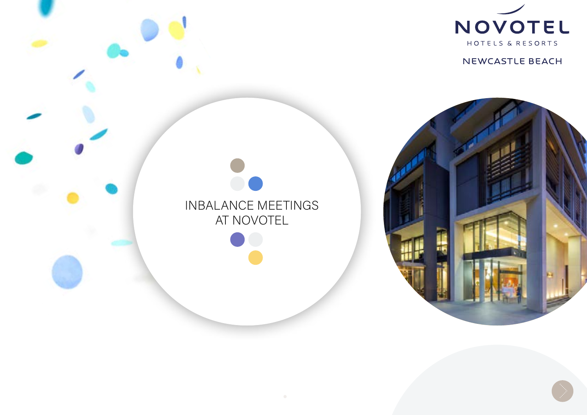

NEWCASTLE BEACH



# INBALANCE MEETINGS AT NOVOTEL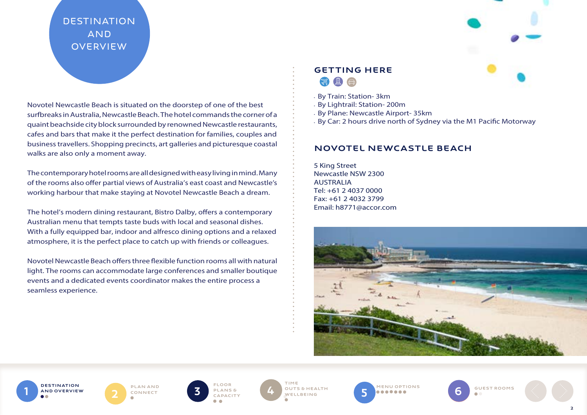# **DESTINATION AND OVERVIEW**

Novotel Newcastle Beach is situated on the doorstep of one of the best surfbreaks in Australia, Newcastle Beach. The hotel commands the corner of a quaint beachside city block surrounded by renowned Newcastle restaurants, cafes and bars that make it the perfect destination for families, couples and business travellers. Shopping precincts, art galleries and picturesque coastal walks are also only a moment away.

The contemporary hotel rooms are all designed with easy living in mind. Many of the rooms also offer partial views of Australia's east coast and Newcastle's working harbour that make staying at Novotel Newcastle Beach a dream.

The hotel's modern dining restaurant, Bistro Dalby, offers a contemporary Australian menu that tempts taste buds with local and seasonal dishes. With a fully equipped bar, indoor and alfresco dining options and a relaxed atmosphere, it is the perfect place to catch up with friends or colleagues.

Novotel Newcastle Beach offers three flexible function rooms all with natural light. The rooms can accommodate large conferences and smaller boutique events and a dedicated events coordinator makes the entire process a seamless experience.

# GETTING HERE

- By Train: Station- 3km
- By Lightrail: Station- 200m
- By Plane: Newcastle Airport- 35km
- By Car: 2 hours drive north of Sydney via the M1 Pacific Motorway

# Novotel NEWCASTLE BEACH

5 King Street Newcastle NSW 2300 AUSTRALIA Tel: +61 2 4037 0000 Fax: +61 2 4032 3799 Email: h8771@accor.com





connect



plans & **CAPACITY** 4

TIME OUTS & Health wellbeing

PLAN AND PLANS PLANS OUTS SHEALTH SONNECT **MENU OPTIONS** 

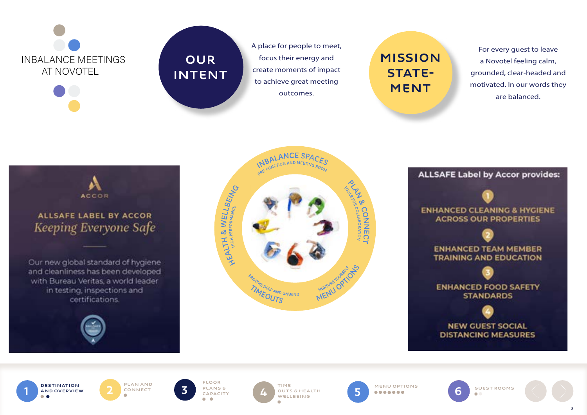

# **OUR INTENT**

A place for people to meet, focus their energy and create moments of impact to achieve great meeting outcomes.

# **MISSION STATE-MENT**

For every guest to leave a Novotel feeling calm, grounded, clear-headed and motivated. In our words they are balanced.











PLAN AND

plans & capacity  $\sim$ 



5<sup>}</sup>

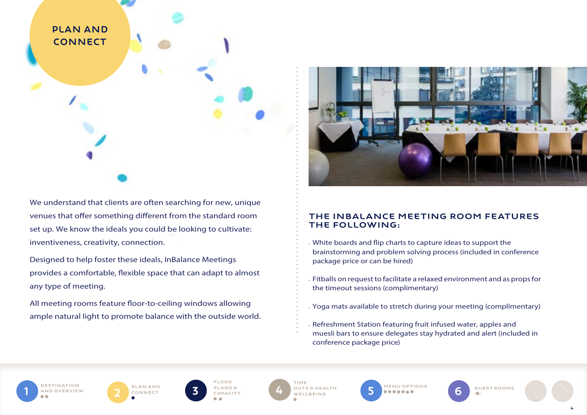

We understand that clients are often searching for new, unique venues that offer something different from the standard room set up. We know the ideals you could be looking to cultivate: inventiveness, creativity, connection.

Designed to help foster these ideals, InBalance Meetings provides a comfortable, flexible space that can adapt to almost any type of meeting.

All meeting rooms feature floor-to-ceiling windows allowing ample natural light to promote balance with the outside world.

PLAN AND<br>CONNECT



# The InBalance Meeting room features the following:

- White boards and flip charts to capture ideas to support the brainstorming and problem solving process (included in conference package price or can be hired)
- Fitballs on request to facilitate a relaxed environment and as props for the timeout sessions (complimentary)
- Yoga mats available to stretch during your meeting (complimentary)
- Refreshment Station featuring fruit infused water, apples and muesli bars to ensure delegates stay hydrated and alert (included in conference package price)

**TINATION OVERVIEW** 

Floor plans & CAPACITY

PLAN AND **5** PLANS & **4** OUTS SHEALTH **5** TIME OUTS & Health WELLBEING 4



7 GUEST ROOMS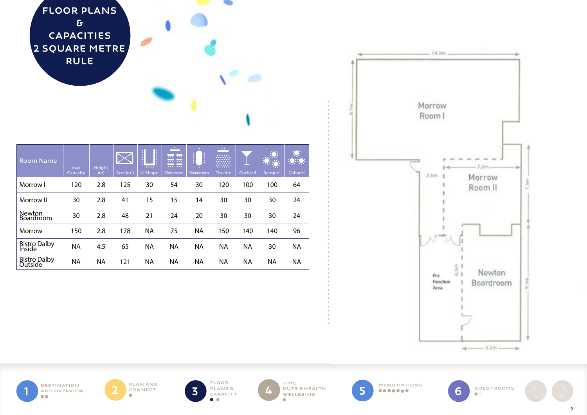

| <b>Room Name</b>               | max<br>Capacity | Height<br>(m) | Area $(m2)$ | <b>I</b> :<br>1.111<br>U-Shape | $\sim$<br><br>0000000<br>$\overline{\cdots}$<br>Classroom | ŧ<br>l:<br><b>Boardroom</b> | $\bullet$ $\bullet$<br><b>30000</b><br><br><b>Theatre</b> | Cocktail  | <b>DOLLARS</b><br>- -<br><b>Banquet</b> | <u> :Q:</u><br>$: \bullet$<br>Cabaret |
|--------------------------------|-----------------|---------------|-------------|--------------------------------|-----------------------------------------------------------|-----------------------------|-----------------------------------------------------------|-----------|-----------------------------------------|---------------------------------------|
| Morrow I                       | 120             | 2.8           | 125         | 30                             | 54                                                        | 30                          | 120                                                       | 100       | 100                                     | 64                                    |
| Morrow II                      | 30              | 2.8           | 41          | 15                             | 15                                                        | 14                          | 30                                                        | 30        | 30                                      | 24                                    |
| Newton<br><b>Boardroom</b>     | 30              | 2.8           | 48          | 21                             | 24                                                        | 20                          | 30                                                        | 30        | 30                                      | 24                                    |
| Morrow                         | 150             | 2.8           | 178         | ΝA                             | 75                                                        | ΝA                          | 150                                                       | 140       | 140                                     | 96                                    |
| <b>Bistro Dalby</b><br>Inside  | <b>NA</b>       | 4.5           | 65          | ΝA                             | <b>NA</b>                                                 | ΝA                          | ΝA                                                        | <b>NA</b> | 30                                      | <b>NA</b>                             |
| <b>Bistro Dalby</b><br>Outside | <b>NA</b>       | ΝA            | 121         | ΝA                             | ΝA                                                        | ΝA                          | ΝA                                                        | <b>NA</b> | <b>NA</b>                               | <b>NA</b>                             |



Destination AND OVERVIEW PLAN AND CONNECT

Floor  $\bullet$ 



WELLBEING



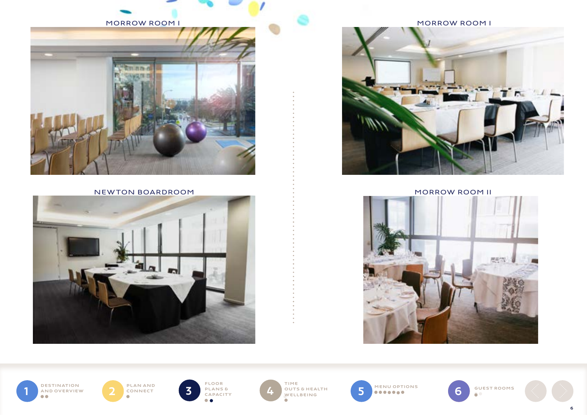

NEWTON BOARDROOM AND RESERVE THE RESERVE TO A MORROW ROOM II



MORROW ROOM I MORROW ROOM I  $T_{\rm m}$ 



Destination AND OVERVIEW

PLAN AND<br>CONNECT





WELLBEING ÷



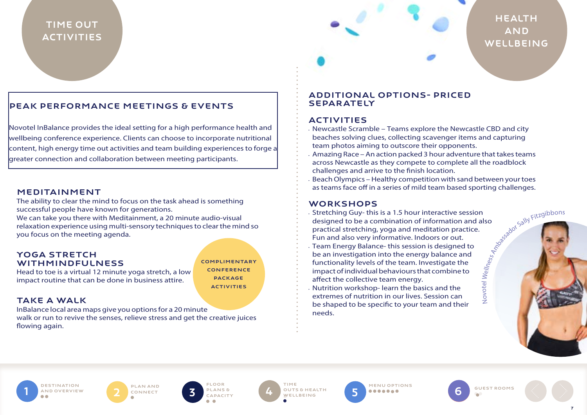# TIME OUT **ACTIVITIES**

# **HEALTH** AND **WELLBEING**

# PEAK PERFORMANCE MEETINGS & EVENTS

Novotel InBalance provides the ideal setting for a high performance health and wellbeing conference experience. Clients can choose to incorporate nutritional content, high energy time out activities and team building experiences to forge a greater connection and collaboration between meeting participants.

#### Meditainment

The ability to clear the mind to focus on the task ahead is something successful people have known for generations.

We can take you there with Meditainment, a 20 minute audio-visual relaxation experience using multi-sensory techniques to clear the mind so you focus on the meeting agenda.

#### YOGA STRETCH withmindfulness

COMPLIMENTARY **CONFERENCE DACKAGE** ACTIVITIES

### Take a walk

InBalance local area maps give you options for a 20 minute walk or run to revive the senses, relieve stress and get the creative juices flowing again.

#### Additional options- priced separately

# **ACTIVITIES**

- Newcastle Scramble Teams explore the Newcastle CBD and city beaches solving clues, collecting scavenger items and capturing team photos aiming to outscore their opponents.
- Amazing Race An action packed 3 hour adventure that takes teams across Newcastle as they compete to complete all the roadblock challenges and arrive to the finish location.
- Beach Olympics Healthy competition with sand between your toes as teams face off in a series of mild team based sporting challenges.

#### **WORKSHOPS**

- Amessador Sally Fitzgibbons • Stretching Guy- this is a 1.5 hour interactive session designed to be a combination of information and also practical stretching, yoga and meditation practice. Fun and also very informative. Indoors or out.
- Team Energy Balance- this session is designed to be an investigation into the energy balance and functionality levels of the team. Investigate the impact of individual behaviours that combine to affect the collective team energy.
- Nutrition workshop- learn the basics and the extremes of nutrition in our lives. Session can be shaped to be specific to your team and their needs.

**ESTINATION** AND OVERVIEW

Head to toe is a virtual 12 minute yoga stretch, a low impact routine that can be done in business attire.

> PLAN AND CONNECT



1 AND DESTINATION 2 CONNECT 3 PLANS & 4 WELLBEING 5 MENU OPTIONS 4 OUTS & HEALTH 5 MENU OPTIONS wellbeing

5



Novotel We*llness*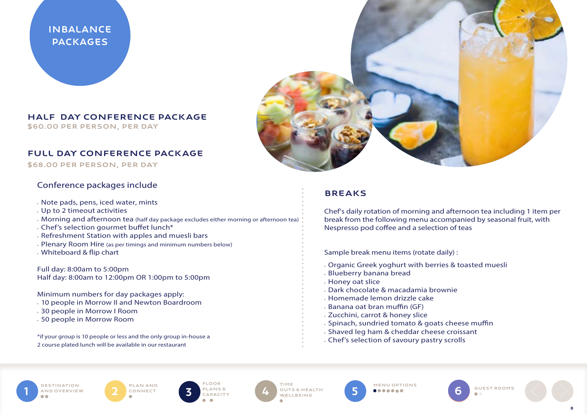InBalance **PACKAGES** 

#### Half Day Conference Package \$60.00 per person, per day

#### Full Day Conference Package

\$68.00 per person, per day

# Conference packages include

- Note pads, pens, iced water, mints
- Up to 2 timeout activities
- Morning and afternoon tea (half day package excludes either morning or afternoon tea)
- Chef's selection gourmet buffet lunch\*
- Refreshment Station with apples and muesli bars
- Plenary Room Hire (as per timings and minimum numbers below)
- Whiteboard & flip chart

Full day: 8:00am to 5:00pm Half day: 8:00am to 12:00pm OR 1:00pm to 5:00pm

Minimum numbers for day packages apply:

- 10 people in Morrow II and Newton Boardroom
- 30 people in Morrow I Room
- 50 people in Morrow Room

\*if your group is 10 people or less and the only group in-house a 2 course plated lunch will be available in our restaurant



# Breaks

Chef's daily rotation of morning and afternoon tea including 1 item per break from the following menu accompanied by seasonal fruit, with Nespresso pod coffee and a selection of teas

Sample break menu items (rotate daily) :

- Organic Greek yoghurt with berries & toasted muesli
- Blueberry banana bread
- Honey oat slice
- Dark chocolate & macadamia brownie
- Homemade lemon drizzle cake
- Banana oat bran muffin (GF)
- Zucchini, carrot & honey slice
- Spinach, sundried tomato & goats cheese muffin
- Shaved leg ham & cheddar cheese croissant
- Chef's selection of savoury pastry scrolls

**TINATION OVERVIEW** 

PLAN AND CONNECT 2



Floor

1 DESTINATION 2 CONNECT 3 PLANS 6 4 OUTSEHEALTH 5 MENU OPTIONS OUTS & Health WELLBEING 4 OUTSEHEALTH 5 MENU OPTIONS

5<sup>}</sup>

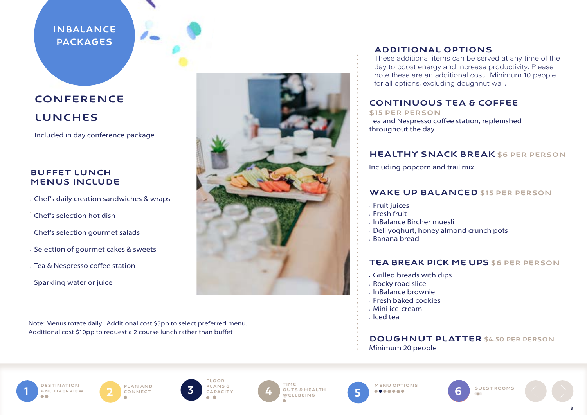# InBalance **PACKAGES**

# CONFERENCE LUNCHes

Included in day conference package

# Buffet lunch menus include

- Chef's daily creation sandwiches & wraps
- • Chef's selection hot dish
- Chef's selection gourmet salads
- Selection of gourmet cakes & sweets
- Tea & Nespresso coffee station
- Sparkling water or juice

Note: Menus rotate daily. Additional cost \$5pp to select preferred menu. Additional cost \$10pp to request a 2 course lunch rather than buffet



# ADDITIONAL OPTIONS

These additional items can be served at any time of the day to boost energy and increase productivity. Please note these are an additional cost. Minimum 10 people for all options, excluding doughnut wall.

# CONTINUOUS TEA & COFFEE

\$15 per person Tea and Nespresso coffee station, replenished throughout the day

# **HEALTHY SNACK BREAK \$6 PER PERSON**

Including popcorn and trail mix

### WAKE UP BALANCED \$15 PER PERSON

- Fruit juices
- Fresh fruit
- InBalance Bircher muesli
- Deli yoghurt, honey almond crunch pots
- Banana bread

# TEA BREAK PICK ME UPS \$6 PER PERSON

- Grilled breads with dips
- Rocky road slice
- InBalance brownie
- Fresh baked cookies
- Mini ice-cream
- Iced tea

# Doughnut platter \$4.50 per person

Minimum 20 people



PLAN AND CONNECT



Floor plans & **CAPACITY** 

**3** PLANS & TIME wellbeing





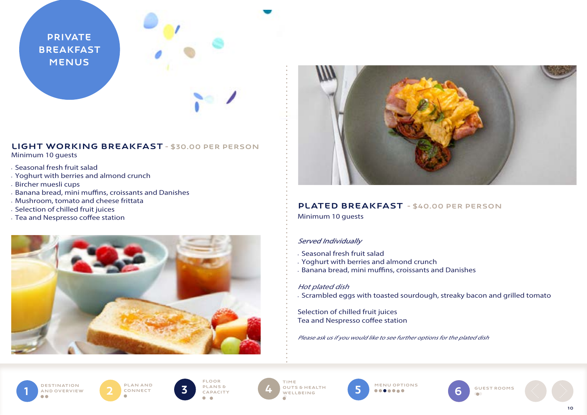**PRIVATE BREAKFAST MENUS** 

# LIGHT WORKING BREAKFAST - \$30.00 per person

Minimum 10 guests

- Seasonal fresh fruit salad
- Yoghurt with berries and almond crunch
- Bircher muesli cups
- Banana bread, mini muffins, croissants and Danishes
- Mushroom, tomato and cheese frittata
- Selection of chilled fruit juices
- Tea and Nespresso coffee station





# PLATED BREAKFAST - \$40.00 per person

Minimum 10 guests

# Served Individually

- Seasonal fresh fruit salad
- Yoghurt with berries and almond crunch
- Banana bread, mini muffins, croissants and Danishes

#### Hot plated dish

• Scrambled eggs with toasted sourdough, streaky bacon and grilled tomato

Selection of chilled fruit juices Tea and Nespresso coffee station

Please ask us if you would like to see further options for the plated dish





Floor plans & **CAPACITY 3** PLANS & **4** OUTS

**WELLBEING** 



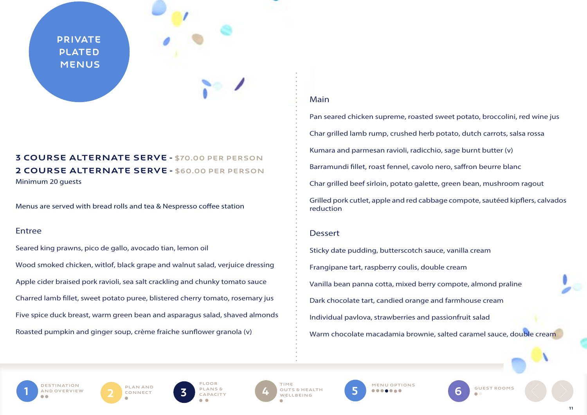**PRIVATE PLATED MENUS** 

# 3 COURSE ALTERNATE SERVE - \$70.00 per person 2 COURSE ALTERNATE SERVE - \$60.00 per person Minimum 20 guests

Menus are served with bread rolls and tea & Nespresso coffee station

#### Entree

Seared king prawns, pico de gallo, avocado tian, lemon oil Wood smoked chicken, witlof, black grape and walnut salad, verjuice dressing Apple cider braised pork ravioli, sea salt crackling and chunky tomato sauce Charred lamb fillet, sweet potato puree, blistered cherry tomato, rosemary jus Five spice duck breast, warm green bean and asparagus salad, shaved almonds Roasted pumpkin and ginger soup, crème fraiche sunflower granola (v)

# Main

Pan seared chicken supreme, roasted sweet potato, broccolini, red wine jus Char grilled lamb rump, crushed herb potato, dutch carrots, salsa rossa Kumara and parmesan ravioli, radicchio, sage burnt butter (v) Barramundi fillet, roast fennel, cavolo nero, saffron beurre blanc Char grilled beef sirloin, potato galette, green bean, mushroom ragout Grilled pork cutlet, apple and red cabbage compote, sautéed kipflers, calvados reduction

### Dessert

Sticky date pudding, butterscotch sauce, vanilla cream Frangipane tart, raspberry coulis, double cream Vanilla bean panna cotta, mixed berry compote, almond praline Dark chocolate tart, candied orange and farmhouse cream Individual pavlova, strawberries and passionfruit salad Warm chocolate macadamia brownie, salted caramel sauce, double cream

**DESTINATION OVERVIEW** 

PLAN AND<br>CONNECT



 1 6 PLAN AND OUTS & Health **WELLBEING** 4 OUTS SHEALTH 5 MENU OPTIONS

5 ) <sup>{</sup>

**GUEST ROOMS**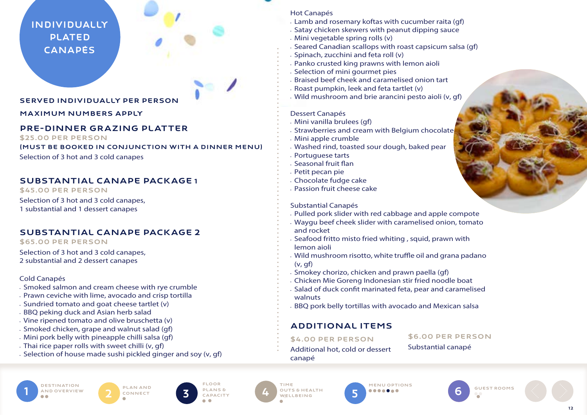# Individually PLATED **CANAPÉS**

#### Served individually per person

#### Maximum numbers apply

# Pre-Dinner Grazing platter

\$25.00 per person

(must be booked in conjunction with a dinner menu)

Selection of 3 hot and 3 cold canapes

# Substantial Canape Package 1

\$45.00 per person Selection of 3 hot and 3 cold canapes, 1 substantial and 1 dessert canapes

# Substantial Canape Package 2

#### \$65.00 per person

Selection of 3 hot and 3 cold canapes, 2 substantial and 2 dessert canapes

#### Cold Canapés

- Smoked salmon and cream cheese with rye crumble
- Prawn ceviche with lime, avocado and crisp tortilla
- Sundried tomato and goat cheese tartlet (v)
- BBQ peking duck and Asian herb salad
- Vine ripened tomato and olive bruschetta (v)
- Smoked chicken, grape and walnut salad (gf)
- Mini pork belly with pineapple chilli salsa (gf)
- Thai rice paper rolls with sweet chilli (v, gf)
- Selection of house made sushi pickled ginger and soy (v, gf)

#### Hot Canapés

- Lamb and rosemary koftas with cucumber raita (gf)
- Satay chicken skewers with peanut dipping sauce
- Mini vegetable spring rolls (v)
- Seared Canadian scallops with roast capsicum salsa (gf)
- Spinach, zucchini and feta roll (v)
- Panko crusted king prawns with lemon aioli
- Selection of mini gourmet pies
- Braised beef cheek and caramelised onion tart
- Roast pumpkin, leek and feta tartlet (v)
- Wild mushroom and brie arancini pesto aioli (v, gf)

#### Dessert Canapés

- Mini vanilla brulees (gf)
- Strawberries and cream with Belgium chocolate
- Mini apple crumble
- Washed rind, toasted sour dough, baked pear
- Portuguese tarts
- Seasonal fruit flan
- Petit pecan pie
- Chocolate fudge cake
- Passion fruit cheese cake

#### Substantial Canapés

- Pulled pork slider with red cabbage and apple compote
- Waygu beef cheek slider with caramelised onion, tomato and rocket
- Seafood fritto misto fried whiting , squid, prawn with lemon aioli
- Wild mushroom risotto, white truffle oil and grana padano (v, gf)
- Smokey chorizo, chicken and prawn paella (gf)
- Chicken Mie Goreng Indonesian stir fried noodle boat
- Salad of duck confit marinated feta, pear and caramelised walnuts
- BBQ pork belly tortillas with avocado and Mexican salsa

# Additional Items

\$4.00 per person

- \$6.00 per person Substantial canapé
- Additional hot, cold or dessert canapé

**ESTINATION** AND OVERVIEW





 1 6 PLAN AND OUTS & Health WELLBEING 4 OUTSEHEALTH 5 MENU OPTIONS



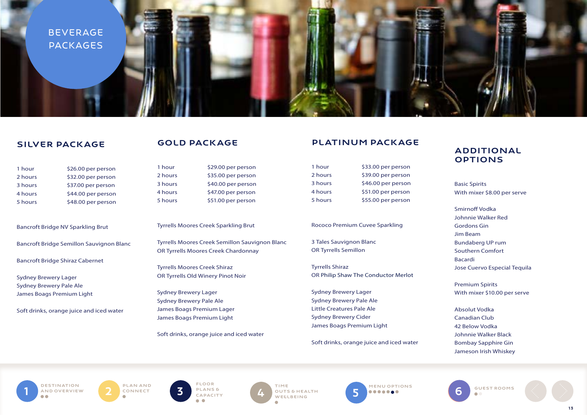

### SILVER PACKAGE

| 1 hour  | \$26.00 per person |
|---------|--------------------|
| 2 hours | \$32.00 per person |
| 3 hours | \$37.00 per person |
| 4 hours | \$44.00 per person |
| 5 hours | \$48.00 per person |

Bancroft Bridge NV Sparkling Brut

Bancroft Bridge Semillon Sauvignon Blanc

Bancroft Bridge Shiraz Cabernet

Sydney Brewery Lager Sydney Brewery Pale Ale James Boags Premium Light

Soft drinks, orange juice and iced water

### GOLD PACKAGE

1 hour \$29.00 per person 2 hours \$35.00 per person 3 hours \$40.00 per person 4 hours \$47.00 per person 5 hours \$51.00 per person

#### Tyrrells Moores Creek Sparkling Brut

Tyrrells Moores Creek Semillon Sauvignon Blanc OR Tyrrells Moores Creek Chardonnay

Tyrrells Moores Creek Shiraz OR Tyrrells Old Winery Pinot Noir

Sydney Brewery Lager Sydney Brewery Pale Ale James Boags Premium Lager James Boags Premium Light

Soft drinks, orange juice and iced water

#### PLATINUM PACKAGE

| 1 hour  | \$33.00 per person |
|---------|--------------------|
| 2 hours | \$39.00 per person |
| 3 hours | \$46.00 per person |
| 4 hours | \$51.00 per person |
| 5 hours | \$55.00 per person |

#### Rococo Premium Cuvee Sparkling

3 Tales Sauvignon Blanc OR Tyrrells Semillon

Tyrrells Shiraz OR Philip Shaw The Conductor Merlot

Sydney Brewery Lager Sydney Brewery Pale Ale Little Creatures Pale Ale Sydney Brewery Cider James Boags Premium Light

Soft drinks, orange juice and iced water

#### ADDITIONAL **OPTIONS**

Basic Spirits With mixer \$8.00 per serve

Smirnoff Vodka Johnnie Walker Red Gordons Gin Jim Beam Bundaberg UP rum Southern Comfort Bacardi Jose Cuervo Especial Tequila

Premium Spirits With mixer \$10.00 per serve

Absolut Vodka Canadian Club 42 Below Vodka Johnnie Walker Black Bombay Sapphire Gin Jameson Irish Whiskey

**DESTINATION** AND OVERVIEW

PLAN AND<br>CONNECT

Floor plans & capacity



**1** DESTINATION **2** PLAN AND **1** FLOOR TIME OUTS & HEALTH **5** MENU OPTIONS CONNECT **5** CONNECT **6** 4 OUTS SHEALTH 5 MENU OPTIONS 5

7 GUEST ROOMS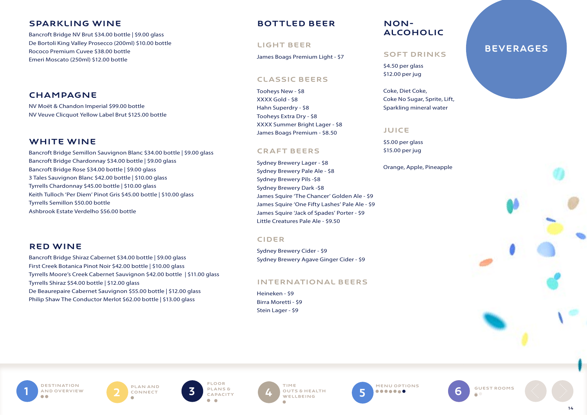# Sparkling wine

Bancroft Bridge NV Brut \$34.00 bottle | \$9.00 glass De Bortoli King Valley Prosecco (200ml) \$10.00 bottle Rococo Premium Cuvee \$38.00 bottle Emeri Moscato (250ml) \$12.00 bottle

# CHAMPAGNE

NV Moët & Chandon Imperial \$99.00 bottle NV Veuve Clicquot Yellow Label Brut \$125.00 bottle

# WHITE WINE

Bancroft Bridge Semillon Sauvignon Blanc \$34.00 bottle | \$9.00 glass Bancroft Bridge Chardonnay \$34.00 bottle | \$9.00 glass Bancroft Bridge Rose \$34.00 bottle | \$9.00 glass 3 Tales Sauvignon Blanc \$42.00 bottle | \$10.00 glass Tyrrells Chardonnay \$45.00 bottle | \$10.00 glass Keith Tulloch 'Per Diem' Pinot Gris \$45.00 bottle | \$10.00 glass Tyrrells Semillon \$50.00 bottle Ashbrook Estate Verdelho \$56.00 bottle

### Red Wine

Bancroft Bridge Shiraz Cabernet \$34.00 bottle | \$9.00 glass First Creek Botanica Pinot Noir \$42.00 bottle | \$10.00 glass Tyrrells Moore's Creek Cabernet Sauvignon \$42.00 bottle | \$11.00 glass Tyrrells Shiraz \$54.00 bottle | \$12.00 glass De Beaurepaire Cabernet Sauvignon \$55.00 bottle | \$12.00 glass Philip Shaw The Conductor Merlot \$62.00 bottle | \$13.00 glass

# Bottled Beer

#### Light beer

James Boags Premium Light - \$7

#### Classic beers

Tooheys New - \$8 XXXX Gold - \$8 Hahn Superdry - \$8 Tooheys Extra Dry - \$8 XXXX Summer Bright Lager - \$8 James Boags Premium - \$8.50

#### Craft Beers

Sydney Brewery Lager - \$8 Sydney Brewery Pale Ale - \$8 Sydney Brewery Pils -\$8 Sydney Brewery Dark -\$8 James Squire 'The Chancer' Golden Ale - \$9 James Squire 'One Fifty Lashes' Pale Ale - \$9 James Squire 'Jack of Spades' Porter - \$9 Little Creatures Pale Ale - \$9.50

#### **CIDER**

Sydney Brewery Cider - \$9 Sydney Brewery Agave Ginger Cider - \$9

#### International beers

Heineken - \$9 Birra Moretti - \$9 Stein Lager - \$9

# Nonalcoholic

#### Soft drinks

\$4.50 per glass \$12.00 per jug

Coke, Diet Coke, Coke No Sugar, Sprite, Lift, Sparkling mineral water

#### **JUICE**

\$5.00 per glass \$15.00 per jug

Orange, Apple, Pineapple

# **BEVERAGES**

**DESTINATION** AND OVERVIEW

PLAN AND<br>CONNECT



**WELLBEING** 

**1** DESTINATION<br>AND OVERVIEW **2** CONNECT **5** PLANS & CAPACITY **4** OUTS SHEALTH **5** WELLBEING **4** JUTS & HEALTH **5** MENU OPTIONS **5** )

7 GUEST ROOMS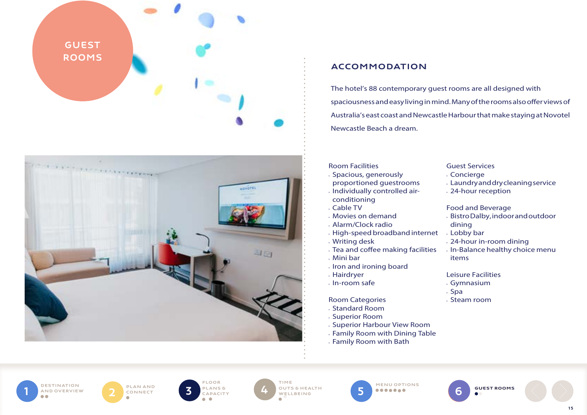

# ACCOMMODATION

The hotel's 88 contemporary guest rooms are all designed with spaciousness and easy living in mind. Many of the rooms also offer views of Australia's east coast and Newcastle Harbour that make staying at Novotel Newcastle Beach a dream.

#### Room Facilities

- Spacious, generously
- proportioned guestrooms
- Individually controlled airconditioning
- Cable TV
- Movies on demand
- Alarm/Clock radio
- High-speed broadband internet
- Writing desk
- Tea and coffee making facilities
- Mini bar
- Iron and ironing board
- Hairdryer
- In-room safe

#### Room Categories

- Standard Room
- Superior Room
- Superior Harbour View Room
- Family Room with Dining Table
- Family Room with Bath

# Guest Services • Concierge

- Laundry and dry cleaning service
- 24-hour reception

#### Food and Beverage

- Bistro Dalby, indoor and outdoor dining
- Lobby bar
- 24-hour in-room dining
- In-Balance healthy choice menu items

#### Leisure Facilities

- Gymnasium
- Spa
- Steam room

**DESTINATION** AND OVERVIEW DESTINATION<br>AND OVERVIEW 2 CONNECT

PLAN AND<br>CONNECT



**4** OUTS & HEALTH **5** MENU OPTIONS **WELLBEING** 

5

6 GUEST ROOMS